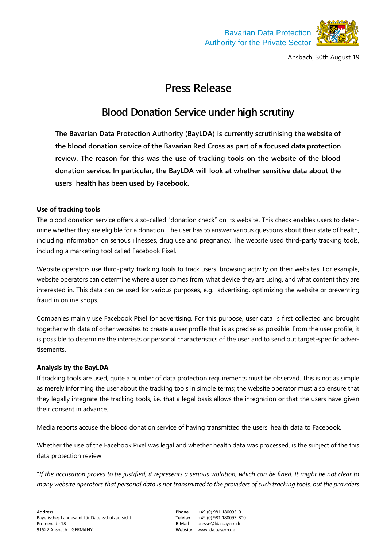



Ansbach, 30th August 19

# **Press Release**

# **Blood Donation Service under high scrutiny**

**The Bavarian Data Protection Authority (BayLDA) is currently scrutinising the website of the blood donation service of the Bavarian Red Cross as part of a focused data protection review. The reason for this was the use of tracking tools on the website of the blood donation service. In particular, the BayLDA will look at whether sensitive data about the users' health has been used by Facebook.**

## **Use of tracking tools**

The blood donation service offers a so-called "donation check" on its website. This check enables users to determine whether they are eligible for a donation. The user has to answer various questions about their state of health, including information on serious illnesses, drug use and pregnancy. The website used third-party tracking tools, including a marketing tool called Facebook Pixel.

Website operators use third-party tracking tools to track users' browsing activity on their websites. For example, website operators can determine where a user comes from, what device they are using, and what content they are interested in. This data can be used for various purposes, e.g. advertising, optimizing the website or preventing fraud in online shops.

Companies mainly use Facebook Pixel for advertising. For this purpose, user data is first collected and brought together with data of other websites to create a user profile that is as precise as possible. From the user profile, it is possible to determine the interests or personal characteristics of the user and to send out target-specific advertisements.

### **Analysis by the BayLDA**

If tracking tools are used, quite a number of data protection requirements must be observed. This is not as simple as merely informing the user about the tracking tools in simple terms; the website operator must also ensure that they legally integrate the tracking tools, i.e. that a legal basis allows the integration or that the users have given their consent in advance.

Media reports accuse the blood donation service of having transmitted the users' health data to Facebook.

Whether the use of the Facebook Pixel was legal and whether health data was processed, is the subject of the this data protection review.

"*If the accusation proves to be justified, it represents a serious violation, which can be fined. It might be not clear to many website operators that personal data is not transmitted to the providers of such tracking tools, but the providers* 

**Phone** +49 (0) 981 180093-0 **Telefax** +49 (0) 981 180093-800 **E-Mail** presse@lda.bayern.de **Website** www.lda.bayern.de